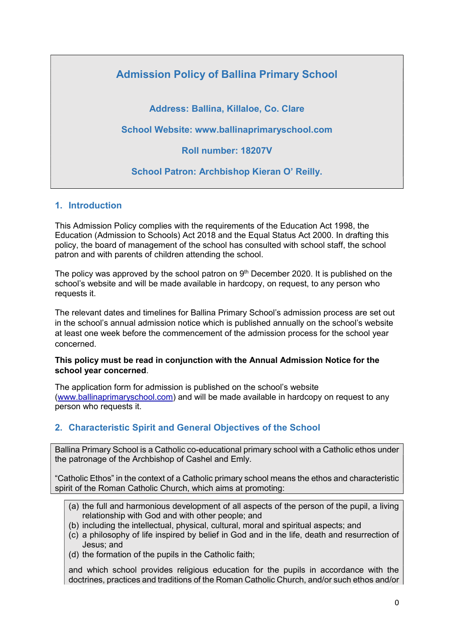# Admission Policy of Ballina Primary School

Address: Ballina, Killaloe, Co. Clare

School Website: www.ballinaprimaryschool.com

Roll number: 18207V

School Patron: Archbishop Kieran O' Reilly.

### 1. Introduction

This Admission Policy complies with the requirements of the Education Act 1998, the Education (Admission to Schools) Act 2018 and the Equal Status Act 2000. In drafting this policy, the board of management of the school has consulted with school staff, the school patron and with parents of children attending the school.

The policy was approved by the school patron on  $9<sup>th</sup>$  December 2020. It is published on the school's website and will be made available in hardcopy, on request, to any person who requests it.

The relevant dates and timelines for Ballina Primary School's admission process are set out in the school's annual admission notice which is published annually on the school's website at least one week before the commencement of the admission process for the school year concerned.

#### This policy must be read in conjunction with the Annual Admission Notice for the school year concerned.

The application form for admission is published on the school's website (www.ballinaprimaryschool.com) and will be made available in hardcopy on request to any person who requests it.

# 2. Characteristic Spirit and General Objectives of the School

Ballina Primary School is a Catholic co-educational primary school with a Catholic ethos under the patronage of the Archbishop of Cashel and Emly.

"Catholic Ethos" in the context of a Catholic primary school means the ethos and characteristic spirit of the Roman Catholic Church, which aims at promoting:

- (a) the full and harmonious development of all aspects of the person of the pupil, a living relationship with God and with other people; and
- (b) including the intellectual, physical, cultural, moral and spiritual aspects; and
- (c) a philosophy of life inspired by belief in God and in the life, death and resurrection of Jesus; and
- (d) the formation of the pupils in the Catholic faith;

and which school provides religious education for the pupils in accordance with the doctrines, practices and traditions of the Roman Catholic Church, and/or such ethos and/or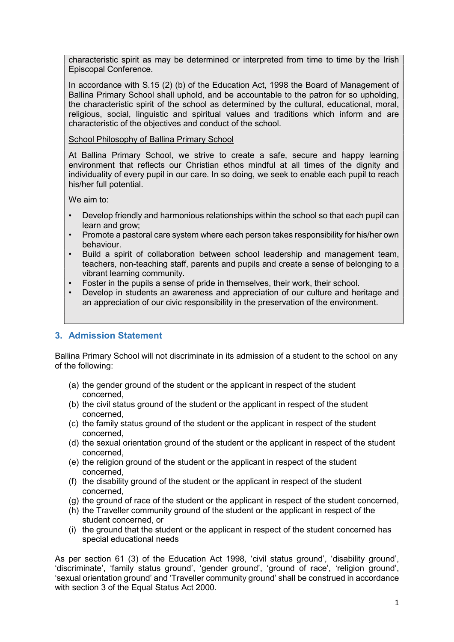characteristic spirit as may be determined or interpreted from time to time by the Irish Episcopal Conference.

In accordance with S.15 (2) (b) of the Education Act, 1998 the Board of Management of Ballina Primary School shall uphold, and be accountable to the patron for so upholding, the characteristic spirit of the school as determined by the cultural, educational, moral, religious, social, linguistic and spiritual values and traditions which inform and are characteristic of the objectives and conduct of the school.

School Philosophy of Ballina Primary School

At Ballina Primary School, we strive to create a safe, secure and happy learning environment that reflects our Christian ethos mindful at all times of the dignity and individuality of every pupil in our care. In so doing, we seek to enable each pupil to reach his/her full potential.

We aim to:

- Develop friendly and harmonious relationships within the school so that each pupil can learn and grow;
- Promote a pastoral care system where each person takes responsibility for his/her own behaviour.
- Build a spirit of collaboration between school leadership and management team, teachers, non-teaching staff, parents and pupils and create a sense of belonging to a vibrant learning community.
- Foster in the pupils a sense of pride in themselves, their work, their school.
- Develop in students an awareness and appreciation of our culture and heritage and an appreciation of our civic responsibility in the preservation of the environment.

# 3. Admission Statement

Ballina Primary School will not discriminate in its admission of a student to the school on any of the following:

- (a) the gender ground of the student or the applicant in respect of the student concerned,
- (b) the civil status ground of the student or the applicant in respect of the student concerned,
- (c) the family status ground of the student or the applicant in respect of the student concerned,
- (d) the sexual orientation ground of the student or the applicant in respect of the student concerned,
- (e) the religion ground of the student or the applicant in respect of the student concerned,
- (f) the disability ground of the student or the applicant in respect of the student concerned,
- (g) the ground of race of the student or the applicant in respect of the student concerned,
- (h) the Traveller community ground of the student or the applicant in respect of the student concerned, or
- (i) the ground that the student or the applicant in respect of the student concerned has special educational needs

As per section 61 (3) of the Education Act 1998, 'civil status ground', 'disability ground', 'discriminate', 'family status ground', 'gender ground', 'ground of race', 'religion ground', 'sexual orientation ground' and 'Traveller community ground' shall be construed in accordance with section 3 of the Equal Status Act 2000.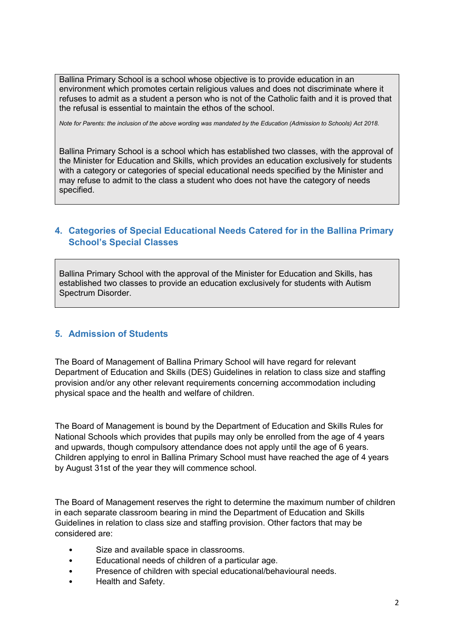Ballina Primary School is a school whose objective is to provide education in an environment which promotes certain religious values and does not discriminate where it refuses to admit as a student a person who is not of the Catholic faith and it is proved that the refusal is essential to maintain the ethos of the school.

Note for Parents: the inclusion of the above wording was mandated by the Education (Admission to Schools) Act 2018.

Ballina Primary School is a school which has established two classes, with the approval of the Minister for Education and Skills, which provides an education exclusively for students with a category or categories of special educational needs specified by the Minister and may refuse to admit to the class a student who does not have the category of needs specified.

# 4. Categories of Special Educational Needs Catered for in the Ballina Primary School's Special Classes

Ballina Primary School with the approval of the Minister for Education and Skills, has established two classes to provide an education exclusively for students with Autism Spectrum Disorder.

# 5. Admission of Students

The Board of Management of Ballina Primary School will have regard for relevant Department of Education and Skills (DES) Guidelines in relation to class size and staffing provision and/or any other relevant requirements concerning accommodation including physical space and the health and welfare of children.

The Board of Management is bound by the Department of Education and Skills Rules for National Schools which provides that pupils may only be enrolled from the age of 4 years and upwards, though compulsory attendance does not apply until the age of 6 years. Children applying to enrol in Ballina Primary School must have reached the age of 4 years by August 31st of the year they will commence school.

The Board of Management reserves the right to determine the maximum number of children in each separate classroom bearing in mind the Department of Education and Skills Guidelines in relation to class size and staffing provision. Other factors that may be considered are:

- Size and available space in classrooms.
- Educational needs of children of a particular age.
- Presence of children with special educational/behavioural needs.
- Health and Safety.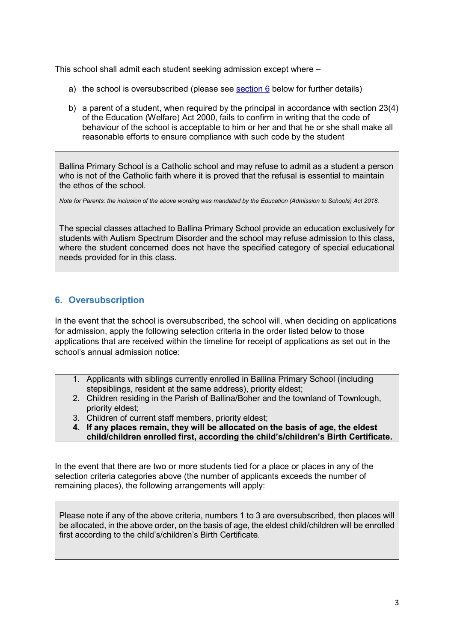This school shall admit each student seeking admission except where –

- a) the school is oversubscribed (please see section 6 below for further details)
- b) a parent of a student, when required by the principal in accordance with section 23(4) of the Education (Welfare) Act 2000, fails to confirm in writing that the code of behaviour of the school is acceptable to him or her and that he or she shall make all reasonable efforts to ensure compliance with such code by the student

Ballina Primary School is a Catholic school and may refuse to admit as a student a person who is not of the Catholic faith where it is proved that the refusal is essential to maintain the ethos of the school.

Note for Parents: the inclusion of the above wording was mandated by the Education (Admission to Schools) Act 2018.

The special classes attached to Ballina Primary School provide an education exclusively for students with Autism Spectrum Disorder and the school may refuse admission to this class, where the student concerned does not have the specified category of special educational needs provided for in this class.

# 6. Oversubscription

In the event that the school is oversubscribed, the school will, when deciding on applications for admission, apply the following selection criteria in the order listed below to those applications that are received within the timeline for receipt of applications as set out in the school's annual admission notice:

- 1. Applicants with siblings currently enrolled in Ballina Primary School (including stepsiblings, resident at the same address), priority eldest;
- 2. Children residing in the Parish of Ballina/Boher and the townland of Townlough, priority eldest;
- 3. Children of current staff members, priority eldest;
- 4. If any places remain, they will be allocated on the basis of age, the eldest child/children enrolled first, according the child's/children's Birth Certificate.

In the event that there are two or more students tied for a place or places in any of the selection criteria categories above (the number of applicants exceeds the number of remaining places), the following arrangements will apply:

Please note if any of the above criteria, numbers 1 to 3 are oversubscribed, then places will be allocated, in the above order, on the basis of age, the eldest child/children will be enrolled first according to the child's/children's Birth Certificate.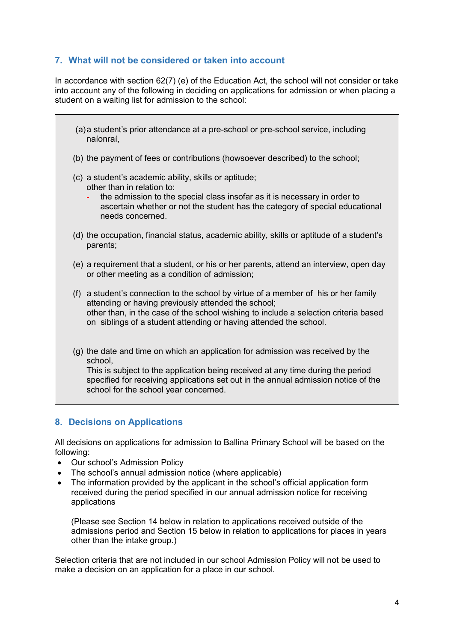### 7. What will not be considered or taken into account

In accordance with section 62(7) (e) of the Education Act, the school will not consider or take into account any of the following in deciding on applications for admission or when placing a student on a waiting list for admission to the school:

- (a) a student's prior attendance at a pre-school or pre-school service, including naíonraí,
- (b) the payment of fees or contributions (howsoever described) to the school;
- (c) a student's academic ability, skills or aptitude; other than in relation to:
	- the admission to the special class insofar as it is necessary in order to ascertain whether or not the student has the category of special educational needs concerned.
- (d) the occupation, financial status, academic ability, skills or aptitude of a student's parents;
- (e) a requirement that a student, or his or her parents, attend an interview, open day or other meeting as a condition of admission;
- (f) a student's connection to the school by virtue of a member of his or her family attending or having previously attended the school; other than, in the case of the school wishing to include a selection criteria based on siblings of a student attending or having attended the school.
- (g) the date and time on which an application for admission was received by the school,

This is subject to the application being received at any time during the period specified for receiving applications set out in the annual admission notice of the school for the school year concerned.

# 8. Decisions on Applications

All decisions on applications for admission to Ballina Primary School will be based on the following:

- Our school's Admission Policy
- The school's annual admission notice (where applicable)
- The information provided by the applicant in the school's official application form received during the period specified in our annual admission notice for receiving applications

(Please see Section 14 below in relation to applications received outside of the admissions period and Section 15 below in relation to applications for places in years other than the intake group.)

Selection criteria that are not included in our school Admission Policy will not be used to make a decision on an application for a place in our school.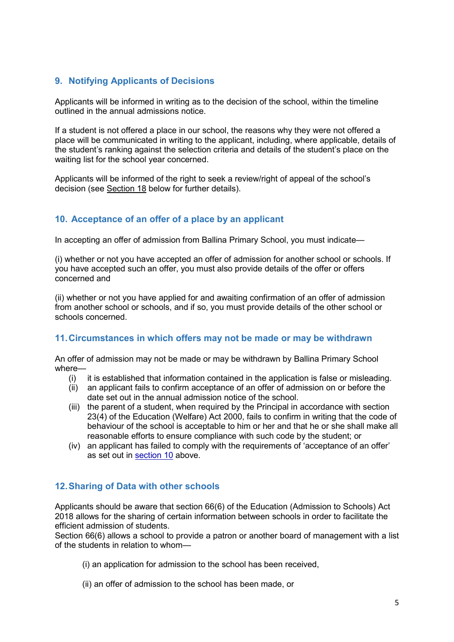# 9. Notifying Applicants of Decisions

Applicants will be informed in writing as to the decision of the school, within the timeline outlined in the annual admissions notice.

If a student is not offered a place in our school, the reasons why they were not offered a place will be communicated in writing to the applicant, including, where applicable, details of the student's ranking against the selection criteria and details of the student's place on the waiting list for the school year concerned.

Applicants will be informed of the right to seek a review/right of appeal of the school's decision (see Section 18 below for further details).

# 10. Acceptance of an offer of a place by an applicant

In accepting an offer of admission from Ballina Primary School, you must indicate—

(i) whether or not you have accepted an offer of admission for another school or schools. If you have accepted such an offer, you must also provide details of the offer or offers concerned and

(ii) whether or not you have applied for and awaiting confirmation of an offer of admission from another school or schools, and if so, you must provide details of the other school or schools concerned.

### 11. Circumstances in which offers may not be made or may be withdrawn

An offer of admission may not be made or may be withdrawn by Ballina Primary School where—

- (i) it is established that information contained in the application is false or misleading.
- (ii) an applicant fails to confirm acceptance of an offer of admission on or before the date set out in the annual admission notice of the school.
- (iii) the parent of a student, when required by the Principal in accordance with section 23(4) of the Education (Welfare) Act 2000, fails to confirm in writing that the code of behaviour of the school is acceptable to him or her and that he or she shall make all reasonable efforts to ensure compliance with such code by the student; or
- (iv) an applicant has failed to comply with the requirements of 'acceptance of an offer' as set out in section 10 above.

# 12. Sharing of Data with other schools

Applicants should be aware that section 66(6) of the Education (Admission to Schools) Act 2018 allows for the sharing of certain information between schools in order to facilitate the efficient admission of students.

Section 66(6) allows a school to provide a patron or another board of management with a list of the students in relation to whom—

- (i) an application for admission to the school has been received,
- (ii) an offer of admission to the school has been made, or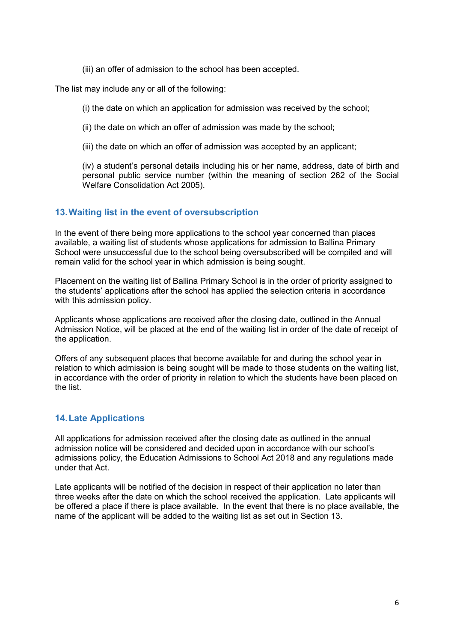(iii) an offer of admission to the school has been accepted.

The list may include any or all of the following:

(i) the date on which an application for admission was received by the school;

(ii) the date on which an offer of admission was made by the school;

(iii) the date on which an offer of admission was accepted by an applicant;

(iv) a student's personal details including his or her name, address, date of birth and personal public service number (within the meaning of section 262 of the Social Welfare Consolidation Act 2005).

#### 13. Waiting list in the event of oversubscription

In the event of there being more applications to the school year concerned than places available, a waiting list of students whose applications for admission to Ballina Primary School were unsuccessful due to the school being oversubscribed will be compiled and will remain valid for the school year in which admission is being sought.

Placement on the waiting list of Ballina Primary School is in the order of priority assigned to the students' applications after the school has applied the selection criteria in accordance with this admission policy.

Applicants whose applications are received after the closing date, outlined in the Annual Admission Notice, will be placed at the end of the waiting list in order of the date of receipt of the application.

Offers of any subsequent places that become available for and during the school year in relation to which admission is being sought will be made to those students on the waiting list, in accordance with the order of priority in relation to which the students have been placed on the list.

### 14. Late Applications

All applications for admission received after the closing date as outlined in the annual admission notice will be considered and decided upon in accordance with our school's admissions policy, the Education Admissions to School Act 2018 and any regulations made under that Act.

Late applicants will be notified of the decision in respect of their application no later than three weeks after the date on which the school received the application. Late applicants will be offered a place if there is place available. In the event that there is no place available, the name of the applicant will be added to the waiting list as set out in Section 13.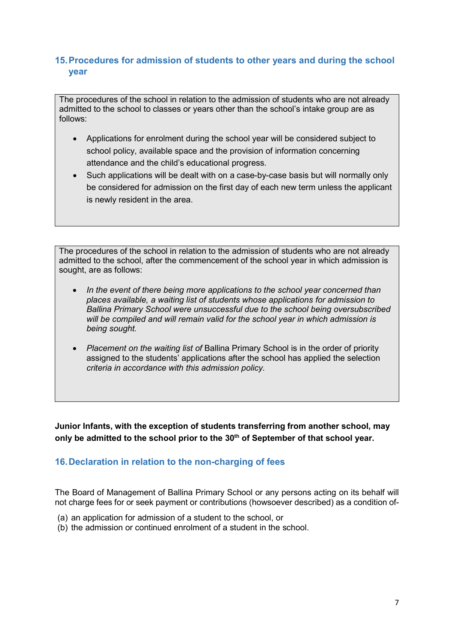# 15. Procedures for admission of students to other years and during the school year

The procedures of the school in relation to the admission of students who are not already admitted to the school to classes or years other than the school's intake group are as follows:

- Applications for enrolment during the school year will be considered subject to school policy, available space and the provision of information concerning attendance and the child's educational progress.
- Such applications will be dealt with on a case-by-case basis but will normally only be considered for admission on the first day of each new term unless the applicant is newly resident in the area.

The procedures of the school in relation to the admission of students who are not already admitted to the school, after the commencement of the school year in which admission is sought, are as follows:

- In the event of there being more applications to the school year concerned than places available, a waiting list of students whose applications for admission to Ballina Primary School were unsuccessful due to the school being oversubscribed will be compiled and will remain valid for the school year in which admission is being sought.
- Placement on the waiting list of Ballina Primary School is in the order of priority assigned to the students' applications after the school has applied the selection criteria in accordance with this admission policy.

Junior Infants, with the exception of students transferring from another school, may only be admitted to the school prior to the 30<sup>th</sup> of September of that school year.

# 16. Declaration in relation to the non-charging of fees

The Board of Management of Ballina Primary School or any persons acting on its behalf will not charge fees for or seek payment or contributions (howsoever described) as a condition of-

- (a) an application for admission of a student to the school, or
- (b) the admission or continued enrolment of a student in the school.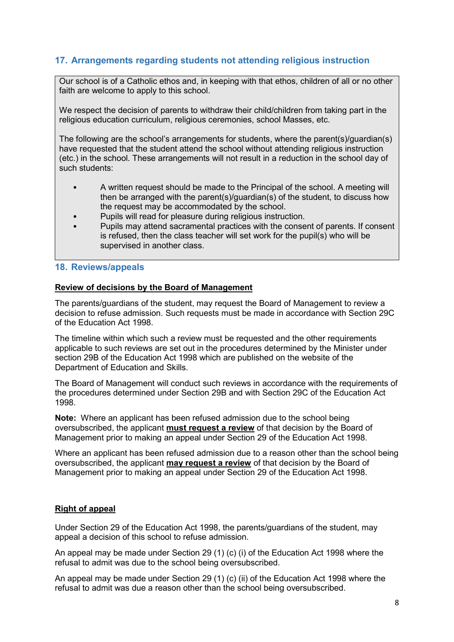# 17. Arrangements regarding students not attending religious instruction

Our school is of a Catholic ethos and, in keeping with that ethos, children of all or no other faith are welcome to apply to this school.

We respect the decision of parents to withdraw their child/children from taking part in the religious education curriculum, religious ceremonies, school Masses, etc.

The following are the school's arrangements for students, where the parent(s)/guardian(s) have requested that the student attend the school without attending religious instruction (etc.) in the school. These arrangements will not result in a reduction in the school day of such students:

- A written request should be made to the Principal of the school. A meeting will then be arranged with the parent(s)/guardian(s) of the student, to discuss how the request may be accommodated by the school.
- Pupils will read for pleasure during religious instruction.
- Pupils may attend sacramental practices with the consent of parents. If consent is refused, then the class teacher will set work for the pupil(s) who will be supervised in another class.

#### 18. Reviews/appeals

#### Review of decisions by the Board of Management

The parents/guardians of the student, may request the Board of Management to review a decision to refuse admission. Such requests must be made in accordance with Section 29C of the Education Act 1998.

The timeline within which such a review must be requested and the other requirements applicable to such reviews are set out in the procedures determined by the Minister under section 29B of the Education Act 1998 which are published on the website of the Department of Education and Skills.

The Board of Management will conduct such reviews in accordance with the requirements of the procedures determined under Section 29B and with Section 29C of the Education Act 1998.

Note: Where an applicant has been refused admission due to the school being oversubscribed, the applicant must request a review of that decision by the Board of Management prior to making an appeal under Section 29 of the Education Act 1998.

Where an applicant has been refused admission due to a reason other than the school being oversubscribed, the applicant may request a review of that decision by the Board of Management prior to making an appeal under Section 29 of the Education Act 1998.

#### Right of appeal

Under Section 29 of the Education Act 1998, the parents/guardians of the student, may appeal a decision of this school to refuse admission.

An appeal may be made under Section 29 (1) (c) (i) of the Education Act 1998 where the refusal to admit was due to the school being oversubscribed.

An appeal may be made under Section 29 (1) (c) (ii) of the Education Act 1998 where the refusal to admit was due a reason other than the school being oversubscribed.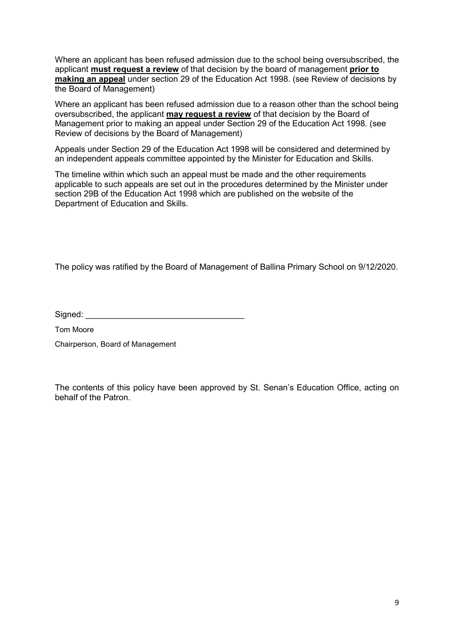Where an applicant has been refused admission due to the school being oversubscribed, the applicant must request a review of that decision by the board of management prior to making an appeal under section 29 of the Education Act 1998. (see Review of decisions by the Board of Management)

Where an applicant has been refused admission due to a reason other than the school being oversubscribed, the applicant may request a review of that decision by the Board of Management prior to making an appeal under Section 29 of the Education Act 1998. (see Review of decisions by the Board of Management)

Appeals under Section 29 of the Education Act 1998 will be considered and determined by an independent appeals committee appointed by the Minister for Education and Skills.

The timeline within which such an appeal must be made and the other requirements applicable to such appeals are set out in the procedures determined by the Minister under section 29B of the Education Act 1998 which are published on the website of the Department of Education and Skills.

The policy was ratified by the Board of Management of Ballina Primary School on 9/12/2020.

Signed: \_\_\_\_\_\_\_\_\_\_\_\_\_\_\_\_\_\_\_\_\_\_\_\_\_\_\_\_\_\_\_\_\_\_

Tom Moore

Chairperson, Board of Management

The contents of this policy have been approved by St. Senan's Education Office, acting on behalf of the Patron.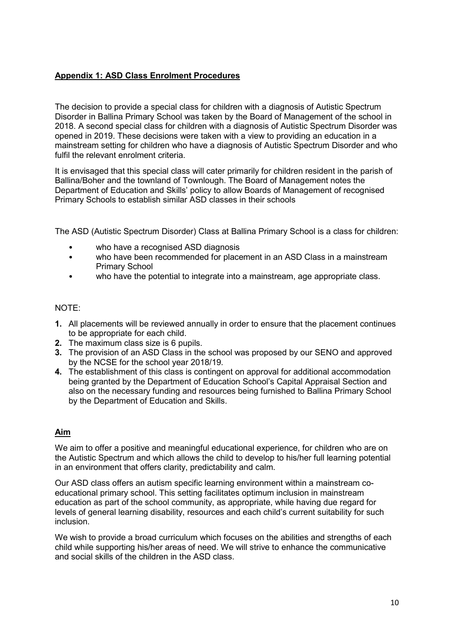### Appendix 1: ASD Class Enrolment Procedures

The decision to provide a special class for children with a diagnosis of Autistic Spectrum Disorder in Ballina Primary School was taken by the Board of Management of the school in 2018. A second special class for children with a diagnosis of Autistic Spectrum Disorder was opened in 2019. These decisions were taken with a view to providing an education in a mainstream setting for children who have a diagnosis of Autistic Spectrum Disorder and who fulfil the relevant enrolment criteria.

It is envisaged that this special class will cater primarily for children resident in the parish of Ballina/Boher and the townland of Townlough. The Board of Management notes the Department of Education and Skills' policy to allow Boards of Management of recognised Primary Schools to establish similar ASD classes in their schools

The ASD (Autistic Spectrum Disorder) Class at Ballina Primary School is a class for children:

- who have a recognised ASD diagnosis
- who have been recommended for placement in an ASD Class in a mainstream Primary School
- who have the potential to integrate into a mainstream, age appropriate class.

#### NOTE:

- 1. All placements will be reviewed annually in order to ensure that the placement continues to be appropriate for each child.
- 2. The maximum class size is 6 pupils.
- 3. The provision of an ASD Class in the school was proposed by our SENO and approved by the NCSE for the school year 2018/19.
- 4. The establishment of this class is contingent on approval for additional accommodation being granted by the Department of Education School's Capital Appraisal Section and also on the necessary funding and resources being furnished to Ballina Primary School by the Department of Education and Skills.

### Aim

We aim to offer a positive and meaningful educational experience, for children who are on the Autistic Spectrum and which allows the child to develop to his/her full learning potential in an environment that offers clarity, predictability and calm.

Our ASD class offers an autism specific learning environment within a mainstream coeducational primary school. This setting facilitates optimum inclusion in mainstream education as part of the school community, as appropriate, while having due regard for levels of general learning disability, resources and each child's current suitability for such inclusion.

We wish to provide a broad curriculum which focuses on the abilities and strengths of each child while supporting his/her areas of need. We will strive to enhance the communicative and social skills of the children in the ASD class.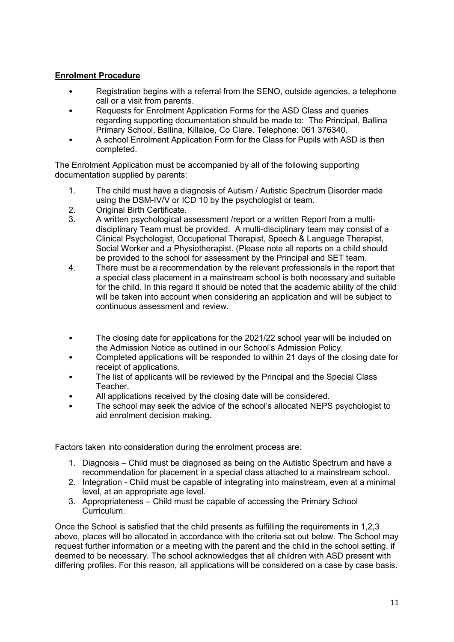### Enrolment Procedure

- Registration begins with a referral from the SENO, outside agencies, a telephone call or a visit from parents.
- Requests for Enrolment Application Forms for the ASD Class and queries regarding supporting documentation should be made to: The Principal, Ballina Primary School, Ballina, Killaloe, Co Clare. Telephone: 061 376340.
- A school Enrolment Application Form for the Class for Pupils with ASD is then completed.

The Enrolment Application must be accompanied by all of the following supporting documentation supplied by parents:

- 1. The child must have a diagnosis of Autism / Autistic Spectrum Disorder made using the DSM-IV/V or ICD 10 by the psychologist or team.
- 2. Original Birth Certificate.
- 3. A written psychological assessment /report or a written Report from a multidisciplinary Team must be provided. A multi-disciplinary team may consist of a Clinical Psychologist, Occupational Therapist, Speech & Language Therapist, Social Worker and a Physiotherapist. (Please note all reports on a child should be provided to the school for assessment by the Principal and SET team.
- 4. There must be a recommendation by the relevant professionals in the report that a special class placement in a mainstream school is both necessary and suitable for the child. In this regard it should be noted that the academic ability of the child will be taken into account when considering an application and will be subject to continuous assessment and review.
- The closing date for applications for the 2021/22 school year will be included on the Admission Notice as outlined in our School's Admission Policy.
- Completed applications will be responded to within 21 days of the closing date for receipt of applications.
- The list of applicants will be reviewed by the Principal and the Special Class Teacher.
- All applications received by the closing date will be considered.
- The school may seek the advice of the school's allocated NEPS psychologist to aid enrolment decision making.

Factors taken into consideration during the enrolment process are:

- 1. Diagnosis Child must be diagnosed as being on the Autistic Spectrum and have a recommendation for placement in a special class attached to a mainstream school.
- 2. Integration Child must be capable of integrating into mainstream, even at a minimal level, at an appropriate age level.
- 3. Appropriateness Child must be capable of accessing the Primary School Curriculum.

Once the School is satisfied that the child presents as fulfilling the requirements in 1,2,3 above, places will be allocated in accordance with the criteria set out below. The School may request further information or a meeting with the parent and the child in the school setting, if deemed to be necessary. The school acknowledges that all children with ASD present with differing profiles. For this reason, all applications will be considered on a case by case basis.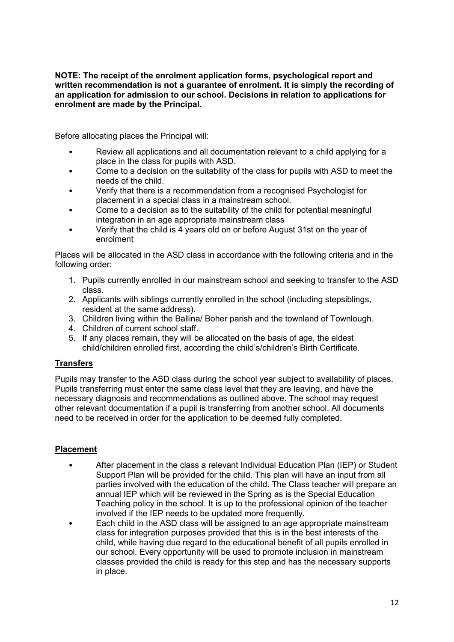#### NOTE: The receipt of the enrolment application forms, psychological report and written recommendation is not a guarantee of enrolment. It is simply the recording of an application for admission to our school. Decisions in relation to applications for enrolment are made by the Principal.

Before allocating places the Principal will:

- Review all applications and all documentation relevant to a child applying for a place in the class for pupils with ASD.
- Come to a decision on the suitability of the class for pupils with ASD to meet the needs of the child.
- Verify that there is a recommendation from a recognised Psychologist for placement in a special class in a mainstream school.
- Come to a decision as to the suitability of the child for potential meaningful integration in an age appropriate mainstream class
- Verify that the child is 4 years old on or before August 31st on the year of enrolment

Places will be allocated in the ASD class in accordance with the following criteria and in the following order:

- 1. Pupils currently enrolled in our mainstream school and seeking to transfer to the ASD class.
- 2. Applicants with siblings currently enrolled in the school (including stepsiblings, resident at the same address).
- 3. Children living within the Ballina/ Boher parish and the townland of Townlough.
- 4. Children of current school staff.
- 5. If any places remain, they will be allocated on the basis of age, the eldest child/children enrolled first, according the child's/children's Birth Certificate.

### **Transfers**

Pupils may transfer to the ASD class during the school year subject to availability of places. Pupils transferring must enter the same class level that they are leaving, and have the necessary diagnosis and recommendations as outlined above. The school may request other relevant documentation if a pupil is transferring from another school. All documents need to be received in order for the application to be deemed fully completed.

### Placement

- After placement in the class a relevant Individual Education Plan (IEP) or Student Support Plan will be provided for the child. This plan will have an input from all parties involved with the education of the child. The Class teacher will prepare an annual IEP which will be reviewed in the Spring as is the Special Education Teaching policy in the school. It is up to the professional opinion of the teacher involved if the IEP needs to be updated more frequently.
- Each child in the ASD class will be assigned to an age appropriate mainstream class for integration purposes provided that this is in the best interests of the child, while having due regard to the educational benefit of all pupils enrolled in our school. Every opportunity will be used to promote inclusion in mainstream classes provided the child is ready for this step and has the necessary supports in place.